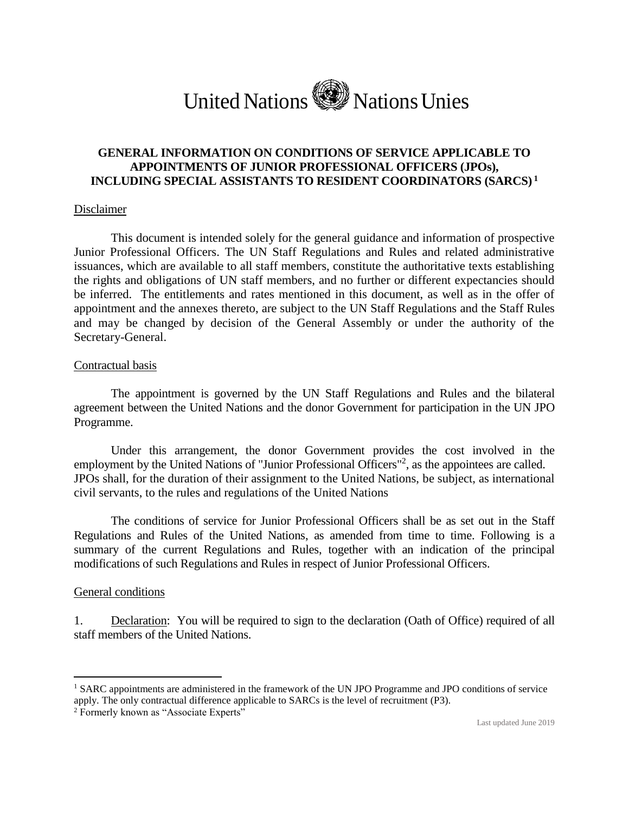# United Nations NationsUnies

## **GENERAL INFORMATION ON CONDITIONS OF SERVICE APPLICABLE TO APPOINTMENTS OF JUNIOR PROFESSIONAL OFFICERS (JPOs), INCLUDING SPECIAL ASSISTANTS TO RESIDENT COORDINATORS (SARCS) <sup>1</sup>**

#### Disclaimer

This document is intended solely for the general guidance and information of prospective Junior Professional Officers. The UN Staff Regulations and Rules and related administrative issuances, which are available to all staff members, constitute the authoritative texts establishing the rights and obligations of UN staff members, and no further or different expectancies should be inferred. The entitlements and rates mentioned in this document, as well as in the offer of appointment and the annexes thereto, are subject to the UN Staff Regulations and the Staff Rules and may be changed by decision of the General Assembly or under the authority of the Secretary-General.

#### Contractual basis

The appointment is governed by the UN Staff Regulations and Rules and the bilateral agreement between the United Nations and the donor Government for participation in the UN JPO Programme.

Under this arrangement, the donor Government provides the cost involved in the employment by the United Nations of "Junior Professional Officers"<sup>2</sup>, as the appointees are called. JPOs shall, for the duration of their assignment to the United Nations, be subject, as international civil servants, to the rules and regulations of the United Nations

The conditions of service for Junior Professional Officers shall be as set out in the Staff Regulations and Rules of the United Nations, as amended from time to time. Following is a summary of the current Regulations and Rules, together with an indication of the principal modifications of such Regulations and Rules in respect of Junior Professional Officers.

#### General conditions

 $\overline{a}$ 

1. Declaration: You will be required to sign to the declaration (Oath of Office) required of all staff members of the United Nations.

<sup>&</sup>lt;sup>1</sup> SARC appointments are administered in the framework of the UN JPO Programme and JPO conditions of service apply. The only contractual difference applicable to SARCs is the level of recruitment (P3).

<sup>&</sup>lt;sup>2</sup> Formerly known as "Associate Experts"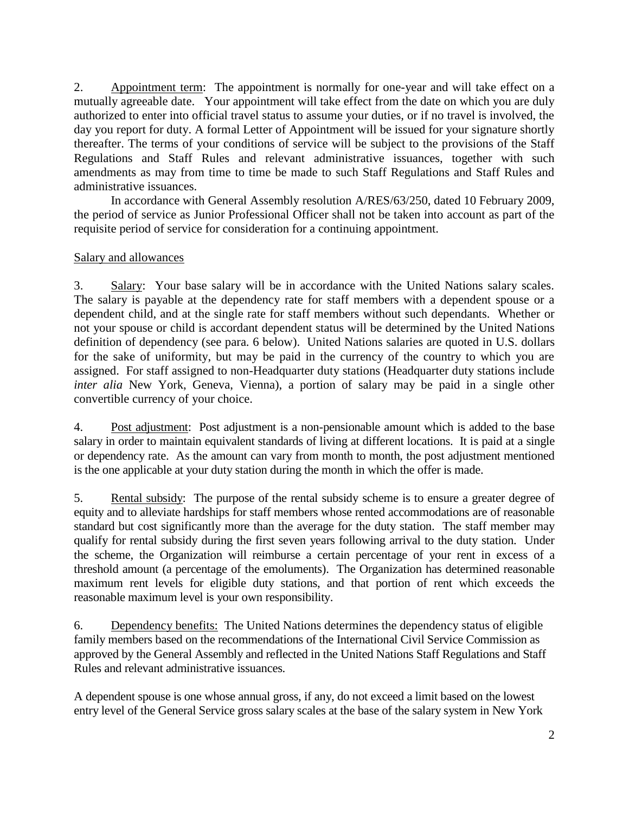2. Appointment term: The appointment is normally for one-year and will take effect on a mutually agreeable date. Your appointment will take effect from the date on which you are duly authorized to enter into official travel status to assume your duties, or if no travel is involved, the day you report for duty. A formal Letter of Appointment will be issued for your signature shortly thereafter. The terms of your conditions of service will be subject to the provisions of the Staff Regulations and Staff Rules and relevant administrative issuances, together with such amendments as may from time to time be made to such Staff Regulations and Staff Rules and administrative issuances.

In accordance with General Assembly resolution A/RES/63/250, dated 10 February 2009, the period of service as Junior Professional Officer shall not be taken into account as part of the requisite period of service for consideration for a continuing appointment.

## Salary and allowances

3. Salary: Your base salary will be in accordance with the United Nations salary scales. The salary is payable at the dependency rate for staff members with a dependent spouse or a dependent child, and at the single rate for staff members without such dependants. Whether or not your spouse or child is accordant dependent status will be determined by the United Nations definition of dependency (see para. 6 below). United Nations salaries are quoted in U.S. dollars for the sake of uniformity, but may be paid in the currency of the country to which you are assigned. For staff assigned to non-Headquarter duty stations (Headquarter duty stations include *inter alia* New York, Geneva, Vienna), a portion of salary may be paid in a single other convertible currency of your choice.

4. Post adjustment: Post adjustment is a non-pensionable amount which is added to the base salary in order to maintain equivalent standards of living at different locations. It is paid at a single or dependency rate. As the amount can vary from month to month, the post adjustment mentioned is the one applicable at your duty station during the month in which the offer is made.

5. Rental subsidy: The purpose of the rental subsidy scheme is to ensure a greater degree of equity and to alleviate hardships for staff members whose rented accommodations are of reasonable standard but cost significantly more than the average for the duty station. The staff member may qualify for rental subsidy during the first seven years following arrival to the duty station. Under the scheme, the Organization will reimburse a certain percentage of your rent in excess of a threshold amount (a percentage of the emoluments). The Organization has determined reasonable maximum rent levels for eligible duty stations, and that portion of rent which exceeds the reasonable maximum level is your own responsibility.

6. Dependency benefits: The United Nations determines the dependency status of eligible family members based on the recommendations of the International Civil Service Commission as approved by the General Assembly and reflected in the United Nations Staff Regulations and Staff Rules and relevant administrative issuances.

A dependent spouse is one whose annual gross, if any, do not exceed a limit based on the lowest entry level of the General Service gross salary scales at the base of the salary system in New York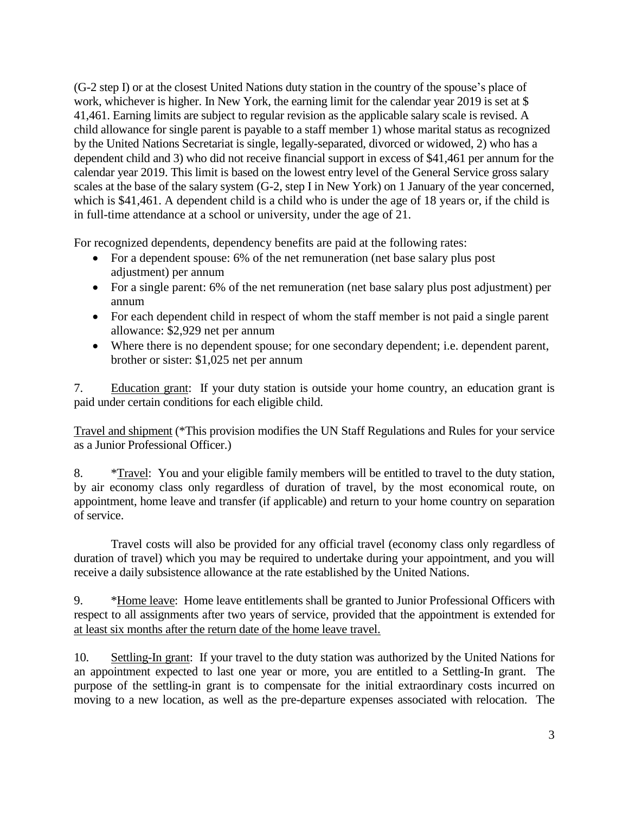(G-2 step I) or at the closest United Nations duty station in the country of the spouse's place of work, whichever is higher. In New York, the earning limit for the calendar year 2019 is set at \$ 41,461. Earning limits are subject to regular revision as the applicable salary scale is revised. A child allowance for single parent is payable to a staff member 1) whose marital status as recognized by the United Nations Secretariat is single, legally-separated, divorced or widowed, 2) who has a dependent child and 3) who did not receive financial support in excess of \$41,461 per annum for the calendar year 2019. This limit is based on the lowest entry level of the General Service gross salary scales at the base of the salary system (G-2, step I in New York) on 1 January of the year concerned, which is \$41,461. A dependent child is a child who is under the age of 18 years or, if the child is in full-time attendance at a school or university, under the age of 21.

For recognized dependents, dependency benefits are paid at the following rates:

- For a dependent spouse: 6% of the net remuneration (net base salary plus post adjustment) per annum
- For a single parent: 6% of the net remuneration (net base salary plus post adjustment) per annum
- For each dependent child in respect of whom the staff member is not paid a single parent allowance: \$2,929 net per annum
- Where there is no dependent spouse; for one secondary dependent; i.e. dependent parent, brother or sister: \$1,025 net per annum

7. Education grant: If your duty station is outside your home country, an education grant is paid under certain conditions for each eligible child.

Travel and shipment (\*This provision modifies the UN Staff Regulations and Rules for your service as a Junior Professional Officer.)

8. \*Travel: You and your eligible family members will be entitled to travel to the duty station, by air economy class only regardless of duration of travel, by the most economical route, on appointment, home leave and transfer (if applicable) and return to your home country on separation of service.

Travel costs will also be provided for any official travel (economy class only regardless of duration of travel) which you may be required to undertake during your appointment, and you will receive a daily subsistence allowance at the rate established by the United Nations.

9. \*Home leave: Home leave entitlements shall be granted to Junior Professional Officers with respect to all assignments after two years of service, provided that the appointment is extended for at least six months after the return date of the home leave travel.

10. Settling-In grant: If your travel to the duty station was authorized by the United Nations for an appointment expected to last one year or more, you are entitled to a Settling-In grant. The purpose of the settling-in grant is to compensate for the initial extraordinary costs incurred on moving to a new location, as well as the pre-departure expenses associated with relocation. The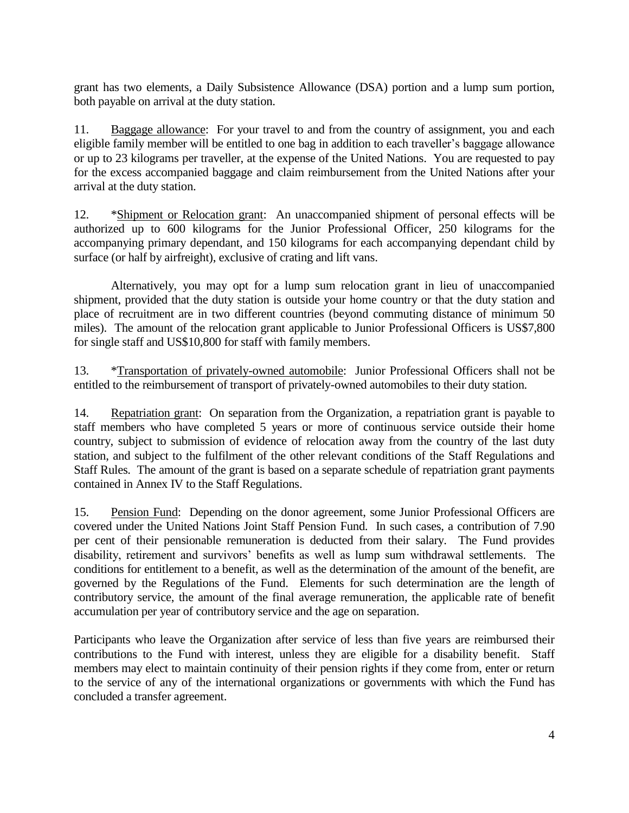grant has two elements, a Daily Subsistence Allowance (DSA) portion and a lump sum portion, both payable on arrival at the duty station.

11. Baggage allowance: For your travel to and from the country of assignment, you and each eligible family member will be entitled to one bag in addition to each traveller's baggage allowance or up to 23 kilograms per traveller, at the expense of the United Nations. You are requested to pay for the excess accompanied baggage and claim reimbursement from the United Nations after your arrival at the duty station.

12. \*Shipment or Relocation grant: An unaccompanied shipment of personal effects will be authorized up to 600 kilograms for the Junior Professional Officer, 250 kilograms for the accompanying primary dependant, and 150 kilograms for each accompanying dependant child by surface (or half by airfreight), exclusive of crating and lift vans.

Alternatively, you may opt for a lump sum relocation grant in lieu of unaccompanied shipment, provided that the duty station is outside your home country or that the duty station and place of recruitment are in two different countries (beyond commuting distance of minimum 50 miles). The amount of the relocation grant applicable to Junior Professional Officers is US\$7,800 for single staff and US\$10,800 for staff with family members.

13. \*Transportation of privately-owned automobile: Junior Professional Officers shall not be entitled to the reimbursement of transport of privately-owned automobiles to their duty station.

14. Repatriation grant: On separation from the Organization, a repatriation grant is payable to staff members who have completed 5 years or more of continuous service outside their home country, subject to submission of evidence of relocation away from the country of the last duty station, and subject to the fulfilment of the other relevant conditions of the Staff Regulations and Staff Rules. The amount of the grant is based on a separate schedule of repatriation grant payments contained in Annex IV to the Staff Regulations.

15. Pension Fund: Depending on the donor agreement, some Junior Professional Officers are covered under the United Nations Joint Staff Pension Fund. In such cases, a contribution of 7.90 per cent of their pensionable remuneration is deducted from their salary. The Fund provides disability, retirement and survivors' benefits as well as lump sum withdrawal settlements. The conditions for entitlement to a benefit, as well as the determination of the amount of the benefit, are governed by the Regulations of the Fund. Elements for such determination are the length of contributory service, the amount of the final average remuneration, the applicable rate of benefit accumulation per year of contributory service and the age on separation.

Participants who leave the Organization after service of less than five years are reimbursed their contributions to the Fund with interest, unless they are eligible for a disability benefit. Staff members may elect to maintain continuity of their pension rights if they come from, enter or return to the service of any of the international organizations or governments with which the Fund has concluded a transfer agreement.